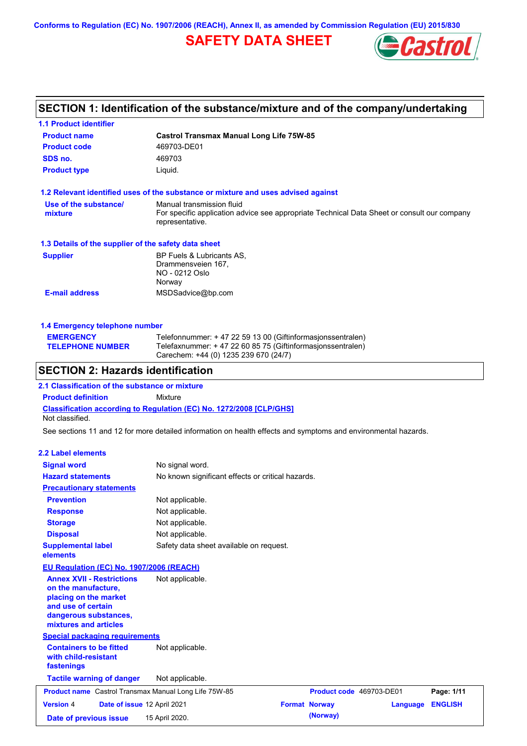**Conforms to Regulation (EC) No. 1907/2006 (REACH), Annex II, as amended by Commission Regulation (EU) 2015/830**

# **SAFETY DATA SHEET**



# **SECTION 1: Identification of the substance/mixture and of the company/undertaking**

**1.1 Product identifier**

| <b>Product name</b>                                                                                                                                      | <b>Castrol Transmax Manual Long Life 75W-85</b>                                                                                                                    |  |  |
|----------------------------------------------------------------------------------------------------------------------------------------------------------|--------------------------------------------------------------------------------------------------------------------------------------------------------------------|--|--|
| <b>Product code</b>                                                                                                                                      | 469703-DE01                                                                                                                                                        |  |  |
| SDS no.                                                                                                                                                  | 469703                                                                                                                                                             |  |  |
| <b>Product type</b>                                                                                                                                      | Liquid.                                                                                                                                                            |  |  |
|                                                                                                                                                          |                                                                                                                                                                    |  |  |
|                                                                                                                                                          | 1.2 Relevant identified uses of the substance or mixture and uses advised against                                                                                  |  |  |
| Use of the substance/<br>mixture                                                                                                                         | Manual transmission fluid<br>For specific application advice see appropriate Technical Data Sheet or consult our company<br>representative.                        |  |  |
| 1.3 Details of the supplier of the safety data sheet                                                                                                     |                                                                                                                                                                    |  |  |
| <b>Supplier</b>                                                                                                                                          | BP Fuels & Lubricants AS,<br>Drammensveien 167,<br>NO - 0212 Oslo<br>Norway                                                                                        |  |  |
| <b>E-mail address</b>                                                                                                                                    | MSDSadvice@bp.com                                                                                                                                                  |  |  |
| 1.4 Emergency telephone number                                                                                                                           |                                                                                                                                                                    |  |  |
| <b>EMERGENCY</b><br><b>TELEPHONE NUMBER</b>                                                                                                              | Telefonnummer: + 47 22 59 13 00 (Giftinformasjonssentralen)<br>Telefaxnummer: +47 22 60 85 75 (Giftinformasjonssentralen)<br>Carechem: +44 (0) 1235 239 670 (24/7) |  |  |
| <b>SECTION 2: Hazards identification</b>                                                                                                                 |                                                                                                                                                                    |  |  |
| 2.1 Classification of the substance or mixture                                                                                                           |                                                                                                                                                                    |  |  |
| <b>Product definition</b>                                                                                                                                | Mixture                                                                                                                                                            |  |  |
| Not classified.                                                                                                                                          | <b>Classification according to Regulation (EC) No. 1272/2008 [CLP/GHS]</b>                                                                                         |  |  |
|                                                                                                                                                          |                                                                                                                                                                    |  |  |
|                                                                                                                                                          | See sections 11 and 12 for more detailed information on health effects and symptoms and environmental hazards.                                                     |  |  |
| <b>2.2 Label elements</b>                                                                                                                                |                                                                                                                                                                    |  |  |
| <b>Signal word</b>                                                                                                                                       | No signal word.                                                                                                                                                    |  |  |
| <b>Hazard statements</b>                                                                                                                                 | No known significant effects or critical hazards.                                                                                                                  |  |  |
| <b>Precautionary statements</b>                                                                                                                          |                                                                                                                                                                    |  |  |
| <b>Prevention</b>                                                                                                                                        | Not applicable.                                                                                                                                                    |  |  |
| <b>Response</b>                                                                                                                                          | Not applicable.                                                                                                                                                    |  |  |
| <b>Storage</b>                                                                                                                                           | Not applicable.                                                                                                                                                    |  |  |
| <b>Disposal</b>                                                                                                                                          |                                                                                                                                                                    |  |  |
| <b>Supplemental label</b>                                                                                                                                | Not applicable.<br>Safety data sheet available on request.                                                                                                         |  |  |
| elements                                                                                                                                                 |                                                                                                                                                                    |  |  |
| EU Regulation (EC) No. 1907/2006 (REACH)                                                                                                                 |                                                                                                                                                                    |  |  |
|                                                                                                                                                          |                                                                                                                                                                    |  |  |
| <b>Annex XVII - Restrictions</b><br>on the manufacture,<br>placing on the market<br>and use of certain<br>dangerous substances,<br>mixtures and articles | Not applicable.                                                                                                                                                    |  |  |
|                                                                                                                                                          |                                                                                                                                                                    |  |  |
| <b>Special packaging requirements</b><br><b>Containers to be fitted</b><br>with child-resistant<br>fastenings                                            | Not applicable.                                                                                                                                                    |  |  |
| <b>Tactile warning of danger</b>                                                                                                                         | Not applicable.                                                                                                                                                    |  |  |
| Product name Castrol Transmax Manual Long Life 75W-85                                                                                                    | Product code 469703-DE01<br>Page: 1/11                                                                                                                             |  |  |
| <b>Version 4</b><br>Date of issue 12 April 2021                                                                                                          | <b>Format Norway</b><br><b>ENGLISH</b><br>Language                                                                                                                 |  |  |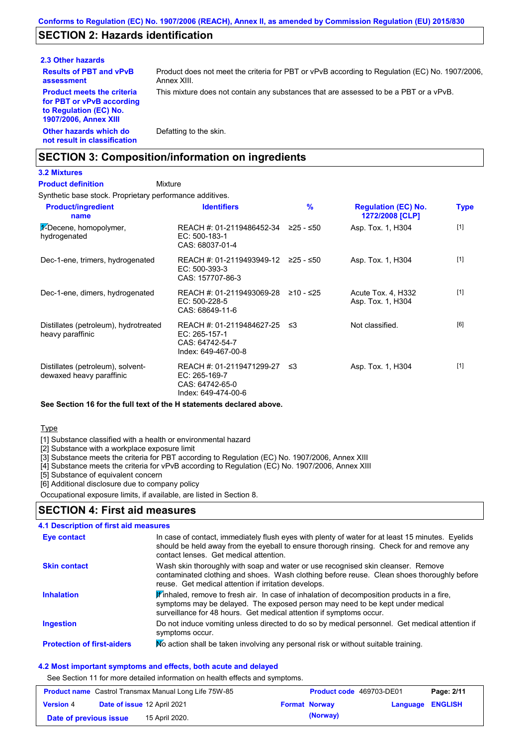## **SECTION 2: Hazards identification**

#### **2.3 Other hazards**

**Other hazards which do not result in classification Results of PBT and vPvB assessment Product meets the criteria for PBT or vPvB according to Regulation (EC) No. 1907/2006, Annex XIII**

Product does not meet the criteria for PBT or vPvB according to Regulation (EC) No. 1907/2006, Annex XIII.

This mixture does not contain any substances that are assessed to be a PBT or a vPvB.

Defatting to the skin.

## **SECTION 3: Composition/information on ingredients**

#### **3.2 Mixtures**

Mixture **Product definition**

Synthetic base stock. Proprietary performance additives.

| <b>Product/ingredient</b><br>name                             | <b>Identifiers</b>                                                                   | $\frac{9}{6}$ | <b>Regulation (EC) No.</b><br>1272/2008 [CLP] | Type  |
|---------------------------------------------------------------|--------------------------------------------------------------------------------------|---------------|-----------------------------------------------|-------|
| $\frac{1}{2}$ -Decene, homopolymer,<br>hydrogenated           | REACH #: 01-2119486452-34 $\geq$ 25 - $\leq$ 50<br>EC: 500-183-1<br>CAS: 68037-01-4  |               | Asp. Tox. 1, H304                             | $[1]$ |
| Dec-1-ene, trimers, hydrogenated                              | REACH #: 01-2119493949-12 ≥25 - ≤50<br>EC: 500-393-3<br>CAS: 157707-86-3             |               | Asp. Tox. 1, H304                             | $[1]$ |
| Dec-1-ene, dimers, hydrogenated                               | REACH #: 01-2119493069-28<br>EC: 500-228-5<br>CAS: 68649-11-6                        | ≥10 - ≤25     | Acute Tox. 4, H332<br>Asp. Tox. 1, H304       | $[1]$ |
| Distillates (petroleum), hydrotreated<br>heavy paraffinic     | REACH #: 01-2119484627-25<br>EC: 265-157-1<br>CAS: 64742-54-7<br>Index: 649-467-00-8 | -≤3           | Not classified.                               | [6]   |
| Distillates (petroleum), solvent-<br>dewaxed heavy paraffinic | REACH #: 01-2119471299-27<br>EC: 265-169-7<br>CAS: 64742-65-0<br>Index: 649-474-00-6 | -≤3           | Asp. Tox. 1, H304                             | $[1]$ |

#### **See Section 16 for the full text of the H statements declared above.**

Type

[1] Substance classified with a health or environmental hazard

[2] Substance with a workplace exposure limit

[3] Substance meets the criteria for PBT according to Regulation (EC) No. 1907/2006, Annex XIII

[4] Substance meets the criteria for vPvB according to Regulation (EC) No. 1907/2006, Annex XIII

[5] Substance of equivalent concern

[6] Additional disclosure due to company policy

Occupational exposure limits, if available, are listed in Section 8.

### **SECTION 4: First aid measures**

| 4.1 Description of first aid measures |                                                                                                                                                                                                                                                               |
|---------------------------------------|---------------------------------------------------------------------------------------------------------------------------------------------------------------------------------------------------------------------------------------------------------------|
| Eye contact                           | In case of contact, immediately flush eyes with plenty of water for at least 15 minutes. Eyelids<br>should be held away from the eyeball to ensure thorough rinsing. Check for and remove any<br>contact lenses. Get medical attention.                       |
| <b>Skin contact</b>                   | Wash skin thoroughly with soap and water or use recognised skin cleanser. Remove<br>contaminated clothing and shoes. Wash clothing before reuse. Clean shoes thoroughly before<br>reuse. Get medical attention if irritation develops.                        |
| <b>Inhalation</b>                     | $\mathbf{F}$ inhaled, remove to fresh air. In case of inhalation of decomposition products in a fire,<br>symptoms may be delayed. The exposed person may need to be kept under medical<br>surveillance for 48 hours. Get medical attention if symptoms occur. |
| <b>Ingestion</b>                      | Do not induce vomiting unless directed to do so by medical personnel. Get medical attention if<br>symptoms occur.                                                                                                                                             |
| <b>Protection of first-aiders</b>     | No action shall be taken involving any personal risk or without suitable training.                                                                                                                                                                            |

#### **4.2 Most important symptoms and effects, both acute and delayed**

See Section 11 for more detailed information on health effects and symptoms.

|                        | <b>Product name</b> Castrol Transmax Manual Long Life 75W-85 | <b>Product code</b> 469703-DE01 |                  | Page: 2/11 |
|------------------------|--------------------------------------------------------------|---------------------------------|------------------|------------|
| <b>Version 4</b>       | Date of issue 12 April 2021                                  | <b>Format Norway</b>            | Language ENGLISH |            |
| Date of previous issue | 15 April 2020.                                               | (Norway)                        |                  |            |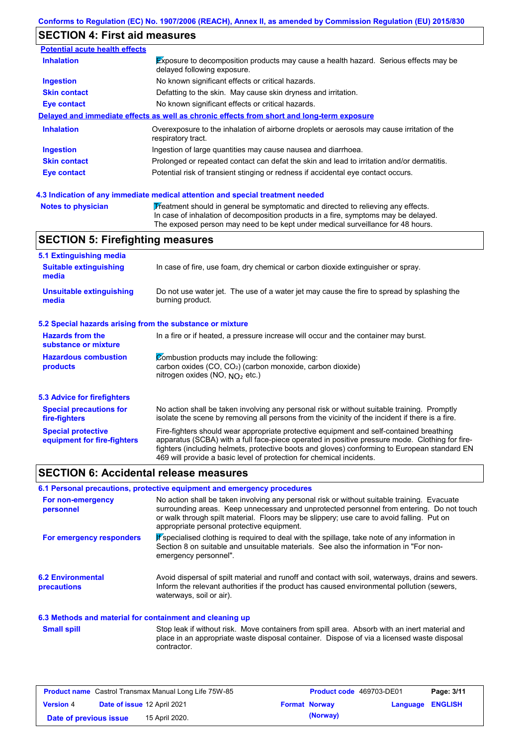# **SECTION 4: First aid measures**

| <b>Inhalation</b>   | <b>Exposure to decomposition products may cause a health hazard.</b> Serious effects may be<br>delayed following exposure. |
|---------------------|----------------------------------------------------------------------------------------------------------------------------|
| <b>Ingestion</b>    | No known significant effects or critical hazards.                                                                          |
| <b>Skin contact</b> | Defatting to the skin. May cause skin dryness and irritation.                                                              |
| Eye contact         | No known significant effects or critical hazards.                                                                          |
|                     | Delayed and immediate effects as well as chronic effects from short and long-term exposure                                 |
| <b>Inhalation</b>   | Overexposure to the inhalation of airborne droplets or aerosols may cause irritation of the<br>respiratory tract.          |
| <b>Ingestion</b>    | Ingestion of large quantities may cause nausea and diarrhoea.                                                              |
| <b>Skin contact</b> | Prolonged or repeated contact can defat the skin and lead to irritation and/or dermatitis.                                 |
|                     | Potential risk of transient stinging or redness if accidental eye contact occurs.                                          |

| <b>Notes to physician</b> | Treatment should in general be symptomatic and directed to relieving any effects.   |
|---------------------------|-------------------------------------------------------------------------------------|
|                           | In case of inhalation of decomposition products in a fire, symptoms may be delayed. |
|                           | The exposed person may need to be kept under medical surveillance for 48 hours.     |

## **SECTION 5: Firefighting measures**

| 5.1 Extinguishing media                                   |                                                                                                                                                                                                                                                                                                                                                                   |
|-----------------------------------------------------------|-------------------------------------------------------------------------------------------------------------------------------------------------------------------------------------------------------------------------------------------------------------------------------------------------------------------------------------------------------------------|
| <b>Suitable extinguishing</b><br>media                    | In case of fire, use foam, dry chemical or carbon dioxide extinguisher or spray.                                                                                                                                                                                                                                                                                  |
| <b>Unsuitable extinguishing</b><br>media                  | Do not use water jet. The use of a water jet may cause the fire to spread by splashing the<br>burning product.                                                                                                                                                                                                                                                    |
| 5.2 Special hazards arising from the substance or mixture |                                                                                                                                                                                                                                                                                                                                                                   |
| <b>Hazards from the</b><br>substance or mixture           | In a fire or if heated, a pressure increase will occur and the container may burst.                                                                                                                                                                                                                                                                               |
| <b>Hazardous combustion</b><br>products                   | Combustion products may include the following:<br>carbon oxides (CO, CO <sub>2</sub> ) (carbon monoxide, carbon dioxide)<br>nitrogen oxides (NO, NO <sub>2</sub> etc.)                                                                                                                                                                                            |
| <b>5.3 Advice for firefighters</b>                        |                                                                                                                                                                                                                                                                                                                                                                   |
| <b>Special precautions for</b><br>fire-fighters           | No action shall be taken involving any personal risk or without suitable training. Promptly<br>isolate the scene by removing all persons from the vicinity of the incident if there is a fire.                                                                                                                                                                    |
| <b>Special protective</b><br>equipment for fire-fighters  | Fire-fighters should wear appropriate protective equipment and self-contained breathing<br>apparatus (SCBA) with a full face-piece operated in positive pressure mode. Clothing for fire-<br>fighters (including helmets, protective boots and gloves) conforming to European standard EN<br>469 will provide a basic level of protection for chemical incidents. |

## **SECTION 6: Accidental release measures**

### **6.1 Personal precautions, protective equipment and emergency procedures**

| For non-emergency<br>personnel                           | No action shall be taken involving any personal risk or without suitable training. Evacuate<br>surrounding areas. Keep unnecessary and unprotected personnel from entering. Do not touch<br>or walk through spilt material. Floors may be slippery; use care to avoid falling. Put on<br>appropriate personal protective equipment. |
|----------------------------------------------------------|-------------------------------------------------------------------------------------------------------------------------------------------------------------------------------------------------------------------------------------------------------------------------------------------------------------------------------------|
| For emergency responders                                 | K specialised clothing is required to deal with the spillage, take note of any information in<br>Section 8 on suitable and unsuitable materials. See also the information in "For non-<br>emergency personnel".                                                                                                                     |
| <b>6.2 Environmental</b><br>precautions                  | Avoid dispersal of spilt material and runoff and contact with soil, waterways, drains and sewers.<br>Inform the relevant authorities if the product has caused environmental pollution (sewers,<br>waterways, soil or air).                                                                                                         |
| 6.3 Methods and material for containment and cleaning up |                                                                                                                                                                                                                                                                                                                                     |
| <b>Small spill</b>                                       | Stop leak if without risk. Move containers from spill area. Absorb with an inert material and<br>place in an appropriate waste disposal container. Dispose of via a licensed waste disposal<br>contractor.                                                                                                                          |

|                        | <b>Product name</b> Castrol Transmax Manual Long Life 75W-85 | <b>Product code</b> 469703-DE01 |                         | Page: 3/11 |
|------------------------|--------------------------------------------------------------|---------------------------------|-------------------------|------------|
| <b>Version 4</b>       | Date of issue 12 April 2021                                  | <b>Format Norway</b>            | <b>Language ENGLISH</b> |            |
| Date of previous issue | 15 April 2020.                                               | (Norway)                        |                         |            |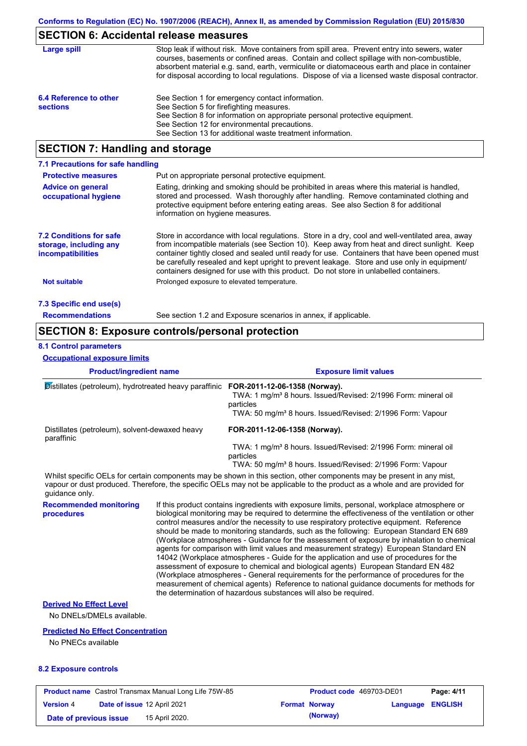## **SECTION 6: Accidental release measures**

| Large spill                               | Stop leak if without risk. Move containers from spill area. Prevent entry into sewers, water<br>courses, basements or confined areas. Contain and collect spillage with non-combustible,<br>absorbent material e.g. sand, earth, vermiculite or diatomaceous earth and place in container<br>for disposal according to local regulations. Dispose of via a licensed waste disposal contractor. |
|-------------------------------------------|------------------------------------------------------------------------------------------------------------------------------------------------------------------------------------------------------------------------------------------------------------------------------------------------------------------------------------------------------------------------------------------------|
| 6.4 Reference to other<br><b>sections</b> | See Section 1 for emergency contact information.<br>See Section 5 for firefighting measures.<br>See Section 8 for information on appropriate personal protective equipment.<br>See Section 12 for environmental precautions.<br>See Section 13 for additional waste treatment information.                                                                                                     |

# **SECTION 7: Handling and storage**

| 7.1 Precautions for safe handling                                                    |                                                                                                                                                                                                                                                                                                                                                                                                                                                                                          |
|--------------------------------------------------------------------------------------|------------------------------------------------------------------------------------------------------------------------------------------------------------------------------------------------------------------------------------------------------------------------------------------------------------------------------------------------------------------------------------------------------------------------------------------------------------------------------------------|
| <b>Protective measures</b>                                                           | Put on appropriate personal protective equipment.                                                                                                                                                                                                                                                                                                                                                                                                                                        |
| <b>Advice on general</b><br>occupational hygiene                                     | Eating, drinking and smoking should be prohibited in areas where this material is handled,<br>stored and processed. Wash thoroughly after handling. Remove contaminated clothing and<br>protective equipment before entering eating areas. See also Section 8 for additional<br>information on hygiene measures.                                                                                                                                                                         |
| <b>7.2 Conditions for safe</b><br>storage, including any<br><i>incompatibilities</i> | Store in accordance with local requiations. Store in a dry, cool and well-ventilated area, away<br>from incompatible materials (see Section 10). Keep away from heat and direct sunlight. Keep<br>container tightly closed and sealed until ready for use. Containers that have been opened must<br>be carefully resealed and kept upright to prevent leakage. Store and use only in equipment/<br>containers designed for use with this product. Do not store in unlabelled containers. |
| <b>Not suitable</b>                                                                  | Prolonged exposure to elevated temperature.                                                                                                                                                                                                                                                                                                                                                                                                                                              |
| 7.3 Specific end use(s)                                                              |                                                                                                                                                                                                                                                                                                                                                                                                                                                                                          |
| <b>Recommendations</b>                                                               | See section 1.2 and Exposure scenarios in annex, if applicable.                                                                                                                                                                                                                                                                                                                                                                                                                          |

## **SECTION 8: Exposure controls/personal protection**

#### **8.1 Control parameters**

**Occupational exposure limits**

| <b>Product/ingredient name</b><br>Distillates (petroleum), hydrotreated heavy paraffinic |                                                                                                                                                                                                                                                                                                                                                                                                                                                                                                                                                                                                                                                                                                                                                                                                                                                                                                                                                                                                                            | <b>Exposure limit values</b>                                                                                                                                                                                                                         |  |
|------------------------------------------------------------------------------------------|----------------------------------------------------------------------------------------------------------------------------------------------------------------------------------------------------------------------------------------------------------------------------------------------------------------------------------------------------------------------------------------------------------------------------------------------------------------------------------------------------------------------------------------------------------------------------------------------------------------------------------------------------------------------------------------------------------------------------------------------------------------------------------------------------------------------------------------------------------------------------------------------------------------------------------------------------------------------------------------------------------------------------|------------------------------------------------------------------------------------------------------------------------------------------------------------------------------------------------------------------------------------------------------|--|
|                                                                                          |                                                                                                                                                                                                                                                                                                                                                                                                                                                                                                                                                                                                                                                                                                                                                                                                                                                                                                                                                                                                                            | FOR-2011-12-06-1358 (Norway).<br>TWA: 1 mg/m <sup>3</sup> 8 hours. Issued/Revised: 2/1996 Form: mineral oil<br>particles<br>TWA: 50 mg/m <sup>3</sup> 8 hours. Issued/Revised: 2/1996 Form: Vapour                                                   |  |
| Distillates (petroleum), solvent-dewaxed heavy<br>paraffinic                             |                                                                                                                                                                                                                                                                                                                                                                                                                                                                                                                                                                                                                                                                                                                                                                                                                                                                                                                                                                                                                            | FOR-2011-12-06-1358 (Norway).<br>TWA: 1 mg/m <sup>3</sup> 8 hours. Issued/Revised: 2/1996 Form: mineral oil<br>particles<br>TWA: 50 mg/m <sup>3</sup> 8 hours. Issued/Revised: 2/1996 Form: Vapour                                                   |  |
| quidance only.                                                                           |                                                                                                                                                                                                                                                                                                                                                                                                                                                                                                                                                                                                                                                                                                                                                                                                                                                                                                                                                                                                                            | Whilst specific OELs for certain components may be shown in this section, other components may be present in any mist,<br>vapour or dust produced. Therefore, the specific OELs may not be applicable to the product as a whole and are provided for |  |
| <b>Recommended monitoring</b><br>procedures                                              | If this product contains ingredients with exposure limits, personal, workplace atmosphere or<br>biological monitoring may be required to determine the effectiveness of the ventilation or other<br>control measures and/or the necessity to use respiratory protective equipment. Reference<br>should be made to monitoring standards, such as the following: European Standard EN 689<br>(Workplace atmospheres - Guidance for the assessment of exposure by inhalation to chemical<br>agents for comparison with limit values and measurement strategy) European Standard EN<br>14042 (Workplace atmospheres - Guide for the application and use of procedures for the<br>assessment of exposure to chemical and biological agents) European Standard EN 482<br>(Workplace atmospheres - General requirements for the performance of procedures for the<br>measurement of chemical agents) Reference to national guidance documents for methods for<br>the determination of hazardous substances will also be required. |                                                                                                                                                                                                                                                      |  |
| <b>Derived No Effect Level</b><br>No DNELs/DMELs available.                              |                                                                                                                                                                                                                                                                                                                                                                                                                                                                                                                                                                                                                                                                                                                                                                                                                                                                                                                                                                                                                            |                                                                                                                                                                                                                                                      |  |
| <b>Predicted No Effect Concentration</b><br>No DNECo available                           |                                                                                                                                                                                                                                                                                                                                                                                                                                                                                                                                                                                                                                                                                                                                                                                                                                                                                                                                                                                                                            |                                                                                                                                                                                                                                                      |  |

No PNECs available

#### **8.2 Exposure controls**

| <b>Product name</b> Castrol Transmax Manual Long Life 75W-85 |  | Product code 469703-DE01           |                      | Page: 4/11              |  |
|--------------------------------------------------------------|--|------------------------------------|----------------------|-------------------------|--|
| <b>Version 4</b>                                             |  | <b>Date of issue 12 April 2021</b> | <b>Format Norway</b> | <b>Language ENGLISH</b> |  |
| Date of previous issue                                       |  | 15 April 2020.                     | (Norway)             |                         |  |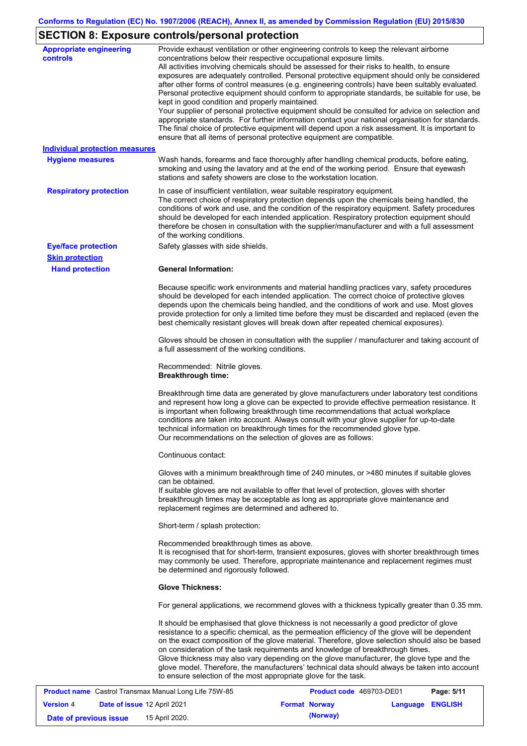# **SECTION 8: Exposure controls/personal protection**

| <b>Appropriate engineering</b><br><b>controls</b> | Provide exhaust ventilation or other engineering controls to keep the relevant airborne<br>concentrations below their respective occupational exposure limits.<br>All activities involving chemicals should be assessed for their risks to health, to ensure<br>exposures are adequately controlled. Personal protective equipment should only be considered<br>after other forms of control measures (e.g. engineering controls) have been suitably evaluated.<br>Personal protective equipment should conform to appropriate standards, be suitable for use, be<br>kept in good condition and properly maintained.<br>Your supplier of personal protective equipment should be consulted for advice on selection and<br>appropriate standards. For further information contact your national organisation for standards.<br>The final choice of protective equipment will depend upon a risk assessment. It is important to<br>ensure that all items of personal protective equipment are compatible. |
|---------------------------------------------------|---------------------------------------------------------------------------------------------------------------------------------------------------------------------------------------------------------------------------------------------------------------------------------------------------------------------------------------------------------------------------------------------------------------------------------------------------------------------------------------------------------------------------------------------------------------------------------------------------------------------------------------------------------------------------------------------------------------------------------------------------------------------------------------------------------------------------------------------------------------------------------------------------------------------------------------------------------------------------------------------------------|
| <b>Individual protection measures</b>             |                                                                                                                                                                                                                                                                                                                                                                                                                                                                                                                                                                                                                                                                                                                                                                                                                                                                                                                                                                                                         |
| <b>Hygiene measures</b>                           | Wash hands, forearms and face thoroughly after handling chemical products, before eating,<br>smoking and using the lavatory and at the end of the working period. Ensure that eyewash<br>stations and safety showers are close to the workstation location.                                                                                                                                                                                                                                                                                                                                                                                                                                                                                                                                                                                                                                                                                                                                             |
| <b>Respiratory protection</b>                     | In case of insufficient ventilation, wear suitable respiratory equipment.<br>The correct choice of respiratory protection depends upon the chemicals being handled, the<br>conditions of work and use, and the condition of the respiratory equipment. Safety procedures<br>should be developed for each intended application. Respiratory protection equipment should<br>therefore be chosen in consultation with the supplier/manufacturer and with a full assessment<br>of the working conditions.                                                                                                                                                                                                                                                                                                                                                                                                                                                                                                   |
| <b>Eye/face protection</b>                        | Safety glasses with side shields.                                                                                                                                                                                                                                                                                                                                                                                                                                                                                                                                                                                                                                                                                                                                                                                                                                                                                                                                                                       |
| <b>Skin protection</b>                            |                                                                                                                                                                                                                                                                                                                                                                                                                                                                                                                                                                                                                                                                                                                                                                                                                                                                                                                                                                                                         |
| <b>Hand protection</b>                            | <b>General Information:</b>                                                                                                                                                                                                                                                                                                                                                                                                                                                                                                                                                                                                                                                                                                                                                                                                                                                                                                                                                                             |
|                                                   | Because specific work environments and material handling practices vary, safety procedures<br>should be developed for each intended application. The correct choice of protective gloves<br>depends upon the chemicals being handled, and the conditions of work and use. Most gloves<br>provide protection for only a limited time before they must be discarded and replaced (even the<br>best chemically resistant gloves will break down after repeated chemical exposures).                                                                                                                                                                                                                                                                                                                                                                                                                                                                                                                        |
|                                                   | Gloves should be chosen in consultation with the supplier / manufacturer and taking account of<br>a full assessment of the working conditions.                                                                                                                                                                                                                                                                                                                                                                                                                                                                                                                                                                                                                                                                                                                                                                                                                                                          |
|                                                   | Recommended: Nitrile gloves.<br><b>Breakthrough time:</b>                                                                                                                                                                                                                                                                                                                                                                                                                                                                                                                                                                                                                                                                                                                                                                                                                                                                                                                                               |
|                                                   | Breakthrough time data are generated by glove manufacturers under laboratory test conditions<br>and represent how long a glove can be expected to provide effective permeation resistance. It<br>is important when following breakthrough time recommendations that actual workplace<br>conditions are taken into account. Always consult with your glove supplier for up-to-date<br>technical information on breakthrough times for the recommended glove type.<br>Our recommendations on the selection of gloves are as follows:                                                                                                                                                                                                                                                                                                                                                                                                                                                                      |
|                                                   | Continuous contact:                                                                                                                                                                                                                                                                                                                                                                                                                                                                                                                                                                                                                                                                                                                                                                                                                                                                                                                                                                                     |
|                                                   | Gloves with a minimum breakthrough time of 240 minutes, or >480 minutes if suitable gloves<br>can be obtained.<br>If suitable gloves are not available to offer that level of protection, gloves with shorter<br>breakthrough times may be acceptable as long as appropriate glove maintenance and<br>replacement regimes are determined and adhered to.                                                                                                                                                                                                                                                                                                                                                                                                                                                                                                                                                                                                                                                |
|                                                   | Short-term / splash protection:                                                                                                                                                                                                                                                                                                                                                                                                                                                                                                                                                                                                                                                                                                                                                                                                                                                                                                                                                                         |
|                                                   | Recommended breakthrough times as above.<br>It is recognised that for short-term, transient exposures, gloves with shorter breakthrough times<br>may commonly be used. Therefore, appropriate maintenance and replacement regimes must<br>be determined and rigorously followed.                                                                                                                                                                                                                                                                                                                                                                                                                                                                                                                                                                                                                                                                                                                        |
|                                                   | <b>Glove Thickness:</b>                                                                                                                                                                                                                                                                                                                                                                                                                                                                                                                                                                                                                                                                                                                                                                                                                                                                                                                                                                                 |
|                                                   | For general applications, we recommend gloves with a thickness typically greater than 0.35 mm.                                                                                                                                                                                                                                                                                                                                                                                                                                                                                                                                                                                                                                                                                                                                                                                                                                                                                                          |
|                                                   | It should be emphasised that glove thickness is not necessarily a good predictor of glove<br>resistance to a specific chemical, as the permeation efficiency of the glove will be dependent<br>on the exact composition of the glove material. Therefore, glove selection should also be based<br>on consideration of the task requirements and knowledge of breakthrough times.<br>Glove thickness may also vary depending on the glove manufacturer, the glove type and the<br>glove model. Therefore, the manufacturers' technical data should always be taken into account<br>to ensure selection of the most appropriate glove for the task.<br>$0.702 \times 20$                                                                                                                                                                                                                                                                                                                                  |

| <b>Product name</b> Castrol Transmax Manual Long Life 75W-85 |                                    | Product code 469703-DE01 |  | Page: 5/11           |                  |  |
|--------------------------------------------------------------|------------------------------------|--------------------------|--|----------------------|------------------|--|
| <b>Version 4</b>                                             | <b>Date of issue 12 April 2021</b> |                          |  | <b>Format Norway</b> | Language ENGLISH |  |
| Date of previous issue                                       |                                    | 15 April 2020.           |  | (Norway)             |                  |  |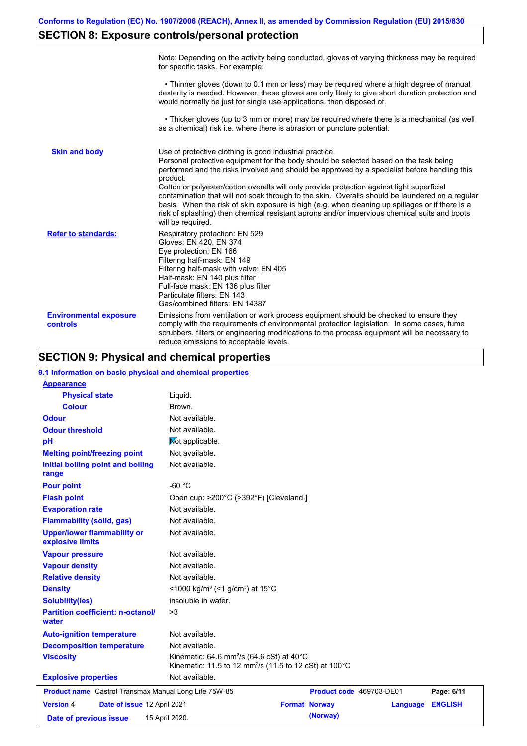# **SECTION 8: Exposure controls/personal protection**

|                                           | Note: Depending on the activity being conducted, gloves of varying thickness may be required<br>for specific tasks. For example:                                                                                                                                                                                                                                                                                                                                                                                                                                                                                                                                                      |
|-------------------------------------------|---------------------------------------------------------------------------------------------------------------------------------------------------------------------------------------------------------------------------------------------------------------------------------------------------------------------------------------------------------------------------------------------------------------------------------------------------------------------------------------------------------------------------------------------------------------------------------------------------------------------------------------------------------------------------------------|
|                                           | • Thinner gloves (down to 0.1 mm or less) may be required where a high degree of manual<br>dexterity is needed. However, these gloves are only likely to give short duration protection and<br>would normally be just for single use applications, then disposed of.                                                                                                                                                                                                                                                                                                                                                                                                                  |
|                                           | • Thicker gloves (up to 3 mm or more) may be required where there is a mechanical (as well<br>as a chemical) risk i.e. where there is abrasion or puncture potential.                                                                                                                                                                                                                                                                                                                                                                                                                                                                                                                 |
| <b>Skin and body</b>                      | Use of protective clothing is good industrial practice.<br>Personal protective equipment for the body should be selected based on the task being<br>performed and the risks involved and should be approved by a specialist before handling this<br>product.<br>Cotton or polyester/cotton overalls will only provide protection against light superficial<br>contamination that will not soak through to the skin. Overalls should be laundered on a regular<br>basis. When the risk of skin exposure is high (e.g. when cleaning up spillages or if there is a<br>risk of splashing) then chemical resistant aprons and/or impervious chemical suits and boots<br>will be required. |
| <b>Refer to standards:</b>                | Respiratory protection: EN 529<br>Gloves: EN 420, EN 374<br>Eye protection: EN 166<br>Filtering half-mask: EN 149<br>Filtering half-mask with valve: EN 405<br>Half-mask: EN 140 plus filter<br>Full-face mask: EN 136 plus filter<br>Particulate filters: EN 143<br>Gas/combined filters: EN 14387                                                                                                                                                                                                                                                                                                                                                                                   |
| <b>Environmental exposure</b><br>controls | Emissions from ventilation or work process equipment should be checked to ensure they<br>comply with the requirements of environmental protection legislation. In some cases, fume<br>scrubbers, filters or engineering modifications to the process equipment will be necessary to<br>reduce emissions to acceptable levels.                                                                                                                                                                                                                                                                                                                                                         |

# **SECTION 9: Physical and chemical properties**

| 9.1 Information on basic physical and chemical properties |                                                                                                                                        |                      |                          |                |
|-----------------------------------------------------------|----------------------------------------------------------------------------------------------------------------------------------------|----------------------|--------------------------|----------------|
| <b>Appearance</b>                                         |                                                                                                                                        |                      |                          |                |
| <b>Physical state</b>                                     | Liquid.                                                                                                                                |                      |                          |                |
| <b>Colour</b>                                             | Brown.                                                                                                                                 |                      |                          |                |
| <b>Odour</b>                                              | Not available.                                                                                                                         |                      |                          |                |
| <b>Odour threshold</b>                                    | Not available.                                                                                                                         |                      |                          |                |
| pH                                                        | Mot applicable.                                                                                                                        |                      |                          |                |
| <b>Melting point/freezing point</b>                       | Not available.                                                                                                                         |                      |                          |                |
| Initial boiling point and boiling<br>range                | Not available.                                                                                                                         |                      |                          |                |
| <b>Pour point</b>                                         | $-60 °C$                                                                                                                               |                      |                          |                |
| <b>Flash point</b>                                        | Open cup: >200°C (>392°F) [Cleveland.]                                                                                                 |                      |                          |                |
| <b>Evaporation rate</b>                                   | Not available.                                                                                                                         |                      |                          |                |
| <b>Flammability (solid, gas)</b>                          | Not available.                                                                                                                         |                      |                          |                |
| <b>Upper/lower flammability or</b><br>explosive limits    | Not available.                                                                                                                         |                      |                          |                |
| <b>Vapour pressure</b>                                    | Not available.                                                                                                                         |                      |                          |                |
| <b>Vapour density</b>                                     | Not available.                                                                                                                         |                      |                          |                |
| <b>Relative density</b>                                   | Not available.                                                                                                                         |                      |                          |                |
| <b>Density</b>                                            | <1000 kg/m <sup>3</sup> (<1 g/cm <sup>3</sup> ) at 15 <sup>°</sup> C                                                                   |                      |                          |                |
| <b>Solubility(ies)</b>                                    | insoluble in water.                                                                                                                    |                      |                          |                |
| <b>Partition coefficient: n-octanol/</b><br>water         | >3                                                                                                                                     |                      |                          |                |
| <b>Auto-ignition temperature</b>                          | Not available.                                                                                                                         |                      |                          |                |
| <b>Decomposition temperature</b>                          | Not available.                                                                                                                         |                      |                          |                |
| <b>Viscosity</b>                                          | Kinematic: 64.6 mm <sup>2</sup> /s (64.6 cSt) at 40 $^{\circ}$ C<br>Kinematic: 11.5 to 12 mm <sup>2</sup> /s (11.5 to 12 cSt) at 100°C |                      |                          |                |
| <b>Explosive properties</b>                               | Not available.                                                                                                                         |                      |                          |                |
| Product name Castrol Transmax Manual Long Life 75W-85     |                                                                                                                                        |                      | Product code 469703-DE01 | Page: 6/11     |
| <b>Version 4</b><br>Date of issue 12 April 2021           |                                                                                                                                        | <b>Format Norway</b> | Language                 | <b>ENGLISH</b> |
| Date of previous issue                                    | 15 April 2020.                                                                                                                         | (Norway)             |                          |                |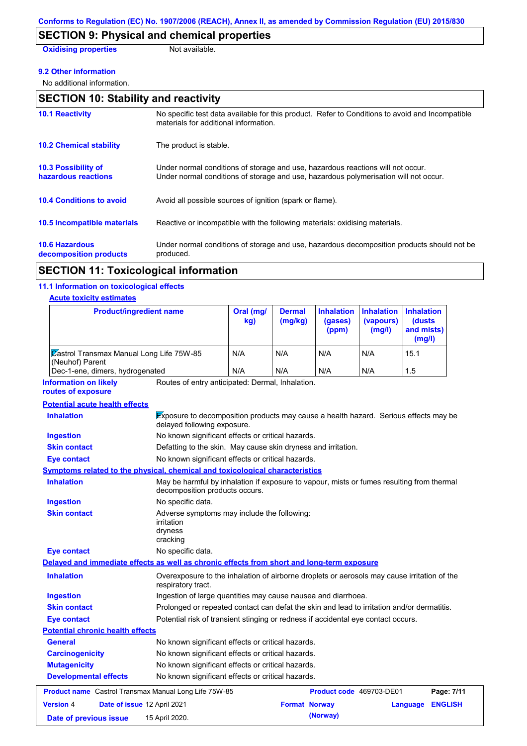## **SECTION 9: Physical and chemical properties**

**Oxidising properties** Not available.

#### **9.2 Other information**

No additional information.

| <b>SECTION 10: Stability and reactivity</b>       |                                                                                                                                                                         |  |  |
|---------------------------------------------------|-------------------------------------------------------------------------------------------------------------------------------------------------------------------------|--|--|
| <b>10.1 Reactivity</b>                            | No specific test data available for this product. Refer to Conditions to avoid and Incompatible<br>materials for additional information.                                |  |  |
| <b>10.2 Chemical stability</b>                    | The product is stable.                                                                                                                                                  |  |  |
| <b>10.3 Possibility of</b><br>hazardous reactions | Under normal conditions of storage and use, hazardous reactions will not occur.<br>Under normal conditions of storage and use, hazardous polymerisation will not occur. |  |  |
| <b>10.4 Conditions to avoid</b>                   | Avoid all possible sources of ignition (spark or flame).                                                                                                                |  |  |
| <b>10.5 Incompatible materials</b>                | Reactive or incompatible with the following materials: oxidising materials.                                                                                             |  |  |
| <b>10.6 Hazardous</b><br>decomposition products   | Under normal conditions of storage and use, hazardous decomposition products should not be<br>produced.                                                                 |  |  |

## **SECTION 11: Toxicological information**

### **11.1 Information on toxicological effects**

### **Acute toxicity estimates**

| <b>Product/ingredient name</b>                                                             |                                                                                                                             | Oral (mg/<br>kg)                                                                  | <b>Dermal</b><br>(mg/kg) | <b>Inhalation</b><br>(gases)<br>(ppm) | <b>Inhalation</b><br>(vapours)<br>(mg/l) | <b>Inhalation</b><br><b>(dusts</b><br>and mists)<br>(mg/l) |
|--------------------------------------------------------------------------------------------|-----------------------------------------------------------------------------------------------------------------------------|-----------------------------------------------------------------------------------|--------------------------|---------------------------------------|------------------------------------------|------------------------------------------------------------|
| Castrol Transmax Manual Long Life 75W-85<br>(Neuhof) Parent                                |                                                                                                                             | N/A<br>N/A                                                                        |                          | N/A                                   | N/A                                      | 15.1                                                       |
| Dec-1-ene, dimers, hydrogenated                                                            |                                                                                                                             | N/A                                                                               | N/A                      | N/A                                   | N/A                                      | 1.5                                                        |
| <b>Information on likely</b><br>routes of exposure                                         | Routes of entry anticipated: Dermal, Inhalation.                                                                            |                                                                                   |                          |                                       |                                          |                                                            |
| <b>Potential acute health effects</b>                                                      |                                                                                                                             |                                                                                   |                          |                                       |                                          |                                                            |
| <b>Inhalation</b>                                                                          | Exposure to decomposition products may cause a health hazard. Serious effects may be<br>delayed following exposure.         |                                                                                   |                          |                                       |                                          |                                                            |
| <b>Ingestion</b>                                                                           | No known significant effects or critical hazards.                                                                           |                                                                                   |                          |                                       |                                          |                                                            |
| <b>Skin contact</b>                                                                        | Defatting to the skin. May cause skin dryness and irritation.                                                               |                                                                                   |                          |                                       |                                          |                                                            |
| Eye contact                                                                                | No known significant effects or critical hazards.                                                                           |                                                                                   |                          |                                       |                                          |                                                            |
| Symptoms related to the physical, chemical and toxicological characteristics               |                                                                                                                             |                                                                                   |                          |                                       |                                          |                                                            |
| <b>Inhalation</b>                                                                          | May be harmful by inhalation if exposure to vapour, mists or fumes resulting from thermal<br>decomposition products occurs. |                                                                                   |                          |                                       |                                          |                                                            |
| <b>Ingestion</b>                                                                           | No specific data.                                                                                                           |                                                                                   |                          |                                       |                                          |                                                            |
| <b>Skin contact</b>                                                                        | Adverse symptoms may include the following:<br>irritation<br>dryness<br>cracking                                            |                                                                                   |                          |                                       |                                          |                                                            |
| <b>Eye contact</b>                                                                         | No specific data.                                                                                                           |                                                                                   |                          |                                       |                                          |                                                            |
| Delayed and immediate effects as well as chronic effects from short and long-term exposure |                                                                                                                             |                                                                                   |                          |                                       |                                          |                                                            |
| <b>Inhalation</b>                                                                          | Overexposure to the inhalation of airborne droplets or aerosols may cause irritation of the<br>respiratory tract.           |                                                                                   |                          |                                       |                                          |                                                            |
| <b>Ingestion</b>                                                                           | Ingestion of large quantities may cause nausea and diarrhoea.                                                               |                                                                                   |                          |                                       |                                          |                                                            |
| <b>Skin contact</b>                                                                        | Prolonged or repeated contact can defat the skin and lead to irritation and/or dermatitis.                                  |                                                                                   |                          |                                       |                                          |                                                            |
| Eye contact                                                                                |                                                                                                                             | Potential risk of transient stinging or redness if accidental eye contact occurs. |                          |                                       |                                          |                                                            |
| <b>Potential chronic health effects</b>                                                    |                                                                                                                             |                                                                                   |                          |                                       |                                          |                                                            |
| General                                                                                    | No known significant effects or critical hazards.                                                                           |                                                                                   |                          |                                       |                                          |                                                            |
| <b>Carcinogenicity</b>                                                                     | No known significant effects or critical hazards.                                                                           |                                                                                   |                          |                                       |                                          |                                                            |
| <b>Mutagenicity</b><br>No known significant effects or critical hazards.                   |                                                                                                                             |                                                                                   |                          |                                       |                                          |                                                            |
| <b>Developmental effects</b>                                                               | No known significant effects or critical hazards.                                                                           |                                                                                   |                          |                                       |                                          |                                                            |
| <b>Product name</b> Castrol Transmax Manual Long Life 75W-85                               |                                                                                                                             |                                                                                   |                          | <b>Product code</b> 469703-DE01       |                                          | Page: 7/11                                                 |
| <b>Version 4</b><br>Date of issue 12 April 2021                                            |                                                                                                                             |                                                                                   | <b>Format Norway</b>     |                                       |                                          | <b>ENGLISH</b><br>Language                                 |
| Date of previous issue                                                                     | 15 April 2020.                                                                                                              |                                                                                   |                          | (Norway)                              |                                          |                                                            |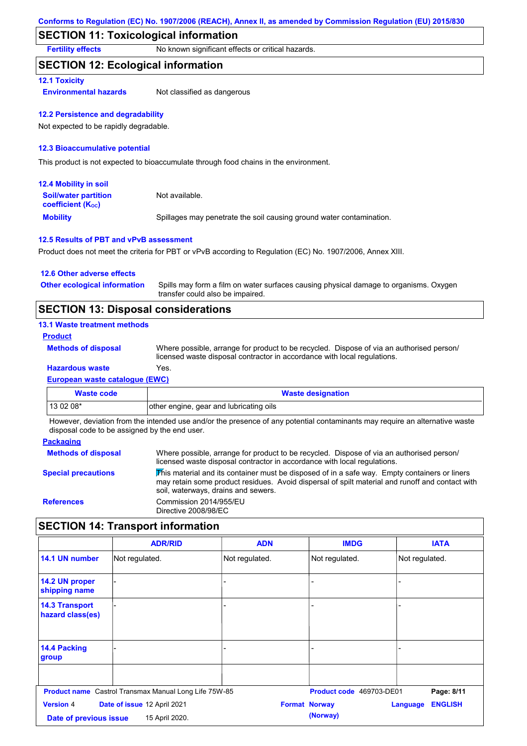## **SECTION 11: Toxicological information**

**Fertility effects** No known significant effects or critical hazards.

### **SECTION 12: Ecological information**

#### **12.1 Toxicity**

**Environmental hazards** Not classified as dangerous

#### **12.2 Persistence and degradability**

Not expected to be rapidly degradable.

#### **12.3 Bioaccumulative potential**

This product is not expected to bioaccumulate through food chains in the environment.

| <b>12.4 Mobility in soil</b>                                  |                                                                      |
|---------------------------------------------------------------|----------------------------------------------------------------------|
| <b>Soil/water partition</b><br>coefficient (K <sub>oc</sub> ) | Not available.                                                       |
| <b>Mobility</b>                                               | Spillages may penetrate the soil causing ground water contamination. |

#### **12.5 Results of PBT and vPvB assessment**

Product does not meet the criteria for PBT or vPvB according to Regulation (EC) No. 1907/2006, Annex XIII.

| 12.6 Other adverse effects          |                                                                                                                           |
|-------------------------------------|---------------------------------------------------------------------------------------------------------------------------|
| <b>Other ecological information</b> | Spills may form a film on water surfaces causing physical damage to organisms. Oxygen<br>transfer could also be impaired. |
|                                     |                                                                                                                           |

## **SECTION 13: Disposal considerations**

### **13.1 Waste treatment methods**

**Product**

**Methods of disposal**

**Hazardous waste** Yes. Where possible, arrange for product to be recycled. Dispose of via an authorised person/ licensed waste disposal contractor in accordance with local regulations.

## **European waste catalogue (EWC)**

| Waste code  | <b>Waste designation</b>                |
|-------------|-----------------------------------------|
| l 13 02 08* | other engine, gear and lubricating oils |

However, deviation from the intended use and/or the presence of any potential contaminants may require an alternative waste disposal code to be assigned by the end user.

#### **Packaging**

| <b>Methods of disposal</b> | Where possible, arrange for product to be recycled. Dispose of via an authorised person/<br>licensed waste disposal contractor in accordance with local regulations.                                                                    |
|----------------------------|-----------------------------------------------------------------------------------------------------------------------------------------------------------------------------------------------------------------------------------------|
| <b>Special precautions</b> | This material and its container must be disposed of in a safe way. Empty containers or liners<br>may retain some product residues. Avoid dispersal of spilt material and runoff and contact with<br>soil, waterways, drains and sewers. |
| <b>References</b>          | Commission 2014/955/EU<br>Directive 2008/98/EC                                                                                                                                                                                          |

## **SECTION 14: Transport information**

|                                                                                                                                                               | <b>ADR/RID</b>                                               | <b>ADN</b>     | <b>IMDG</b>              | <b>IATA</b>    |
|---------------------------------------------------------------------------------------------------------------------------------------------------------------|--------------------------------------------------------------|----------------|--------------------------|----------------|
| 14.1 UN number                                                                                                                                                | Not regulated.                                               | Not regulated. | Not regulated.           | Not regulated. |
| 14.2 UN proper<br>shipping name                                                                                                                               |                                                              | ۳              |                          |                |
| <b>14.3 Transport</b><br>hazard class(es)                                                                                                                     |                                                              | -              |                          |                |
| 14.4 Packing<br>group                                                                                                                                         |                                                              |                |                          |                |
|                                                                                                                                                               | <b>Product name</b> Castrol Transmax Manual Long Life 75W-85 |                | Product code 469703-DE01 | Page: 8/11     |
| <b>Version 4</b><br>Date of issue 12 April 2021<br><b>ENGLISH</b><br><b>Format Norway</b><br>Language<br>(Norway)<br>15 April 2020.<br>Date of previous issue |                                                              |                |                          |                |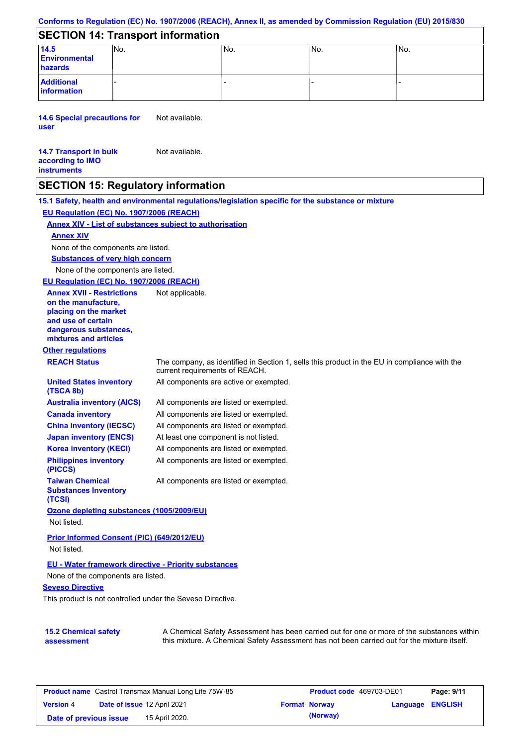#### **Conforms to Regulation (EC) No. 1907/2006 (REACH), Annex II, as amended by Commission Regulation (EU) 2015/830**

## **SECTION 14: Transport information**

| 14.5<br><b>Environmental</b><br>hazards | INo. | INo. | INo. | lNo. |
|-----------------------------------------|------|------|------|------|
| <b>Additional</b><br>information        |      |      |      |      |

**14.6 Special precautions for user** Not available.

#### **14.7 Transport in bulk according to IMO instruments** Not available.

## **SECTION 15: Regulatory information**

**Other regulations REACH Status** The company, as identified in Section 1, sells this product in the EU in compliance with the current requirements of REACH. **15.1 Safety, health and environmental regulations/legislation specific for the substance or mixture EU Regulation (EC) No. 1907/2006 (REACH) Annex XIV - List of substances subject to authorisation Substances of very high concern** None of the components are listed. All components are listed or exempted. All components are listed or exempted. All components are listed or exempted. At least one component is not listed. All components are active or exempted. All components are listed or exempted. All components are listed or exempted. **United States inventory (TSCA 8b) Australia inventory (AICS) Canada inventory China inventory (IECSC) Japan inventory (ENCS) Korea inventory (KECI) Philippines inventory (PICCS) Taiwan Chemical Substances Inventory (TCSI)** All components are listed or exempted. **Ozone depleting substances (1005/2009/EU)** Not listed. **Prior Informed Consent (PIC) (649/2012/EU)** Not listed. None of the components are listed. **Annex XIV EU - Water framework directive - Priority substances** None of the components are listed. **EU Regulation (EC) No. 1907/2006 (REACH) Annex XVII - Restrictions on the manufacture, placing on the market and use of certain dangerous substances, mixtures and articles** Not applicable.

**Seveso Directive**

This product is not controlled under the Seveso Directive.

| <b>15.2 Chemical safety</b> | A Chemical Safety Assessment has been carried out for one or more of the substances within  |
|-----------------------------|---------------------------------------------------------------------------------------------|
| assessment                  | this mixture. A Chemical Safety Assessment has not been carried out for the mixture itself. |

| <b>Product name</b> Castrol Transmax Manual Long Life 75W-85 |  |                             | <b>Product code</b> 469703-DE01 | Page: 9/11           |                         |  |
|--------------------------------------------------------------|--|-----------------------------|---------------------------------|----------------------|-------------------------|--|
| <b>Version 4</b>                                             |  | Date of issue 12 April 2021 |                                 | <b>Format Norway</b> | <b>Language ENGLISH</b> |  |
| Date of previous issue                                       |  | 15 April 2020.              |                                 | (Norway)             |                         |  |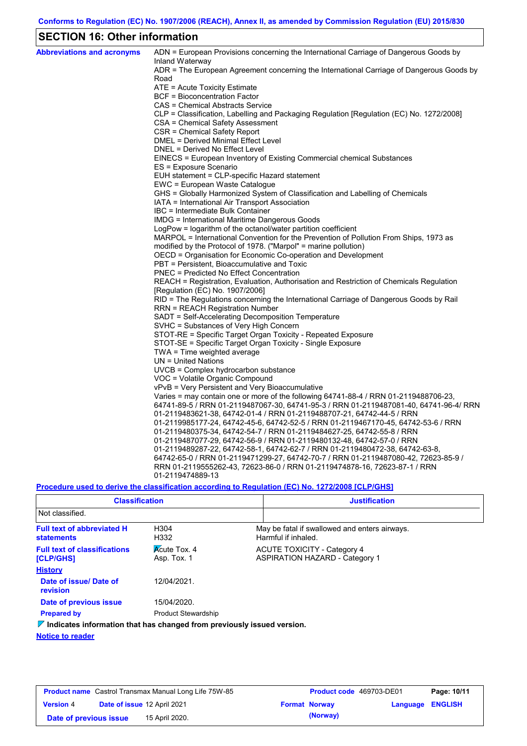## **SECTION 16: Other information**

| <b>Abbreviations and acronyms</b> | ADN = European Provisions concerning the International Carriage of Dangerous Goods by<br>Inland Waterway |
|-----------------------------------|----------------------------------------------------------------------------------------------------------|
|                                   | ADR = The European Agreement concerning the International Carriage of Dangerous Goods by<br>Road         |
|                                   | ATE = Acute Toxicity Estimate                                                                            |
|                                   | BCF = Bioconcentration Factor                                                                            |
|                                   | CAS = Chemical Abstracts Service                                                                         |
|                                   | CLP = Classification, Labelling and Packaging Regulation [Regulation (EC) No. 1272/2008]                 |
|                                   | CSA = Chemical Safety Assessment                                                                         |
|                                   | CSR = Chemical Safety Report                                                                             |
|                                   | DMEL = Derived Minimal Effect Level                                                                      |
|                                   | DNEL = Derived No Effect Level                                                                           |
|                                   | EINECS = European Inventory of Existing Commercial chemical Substances                                   |
|                                   | ES = Exposure Scenario                                                                                   |
|                                   | EUH statement = CLP-specific Hazard statement                                                            |
|                                   | EWC = European Waste Catalogue                                                                           |
|                                   | GHS = Globally Harmonized System of Classification and Labelling of Chemicals                            |
|                                   | IATA = International Air Transport Association                                                           |
|                                   | IBC = Intermediate Bulk Container                                                                        |
|                                   | IMDG = International Maritime Dangerous Goods                                                            |
|                                   | LogPow = logarithm of the octanol/water partition coefficient                                            |
|                                   | MARPOL = International Convention for the Prevention of Pollution From Ships, 1973 as                    |
|                                   | modified by the Protocol of 1978. ("Marpol" = marine pollution)                                          |
|                                   | OECD = Organisation for Economic Co-operation and Development                                            |
|                                   | PBT = Persistent, Bioaccumulative and Toxic                                                              |
|                                   | <b>PNEC = Predicted No Effect Concentration</b>                                                          |
|                                   | REACH = Registration, Evaluation, Authorisation and Restriction of Chemicals Regulation                  |
|                                   | [Regulation (EC) No. 1907/2006]                                                                          |
|                                   | RID = The Regulations concerning the International Carriage of Dangerous Goods by Rail                   |
|                                   | <b>RRN = REACH Registration Number</b>                                                                   |
|                                   | SADT = Self-Accelerating Decomposition Temperature                                                       |
|                                   | SVHC = Substances of Very High Concern                                                                   |
|                                   | STOT-RE = Specific Target Organ Toxicity - Repeated Exposure                                             |
|                                   | STOT-SE = Specific Target Organ Toxicity - Single Exposure                                               |
|                                   | TWA = Time weighted average                                                                              |
|                                   | $UN = United Nations$                                                                                    |
|                                   | UVCB = Complex hydrocarbon substance                                                                     |
|                                   | VOC = Volatile Organic Compound                                                                          |
|                                   | vPvB = Very Persistent and Very Bioaccumulative                                                          |
|                                   | Varies = may contain one or more of the following $64741-88-4$ / RRN 01-2119488706-23,                   |
|                                   | 64741-89-5 / RRN 01-2119487067-30, 64741-95-3 / RRN 01-2119487081-40, 64741-96-4/ RRN                    |
|                                   | 01-2119483621-38, 64742-01-4 / RRN 01-2119488707-21, 64742-44-5 / RRN                                    |
|                                   | 01-2119985177-24, 64742-45-6, 64742-52-5 / RRN 01-2119467170-45, 64742-53-6 / RRN                        |
|                                   | 01-2119480375-34, 64742-54-7 / RRN 01-2119484627-25, 64742-55-8 / RRN                                    |
|                                   | 01-2119487077-29, 64742-56-9 / RRN 01-2119480132-48, 64742-57-0 / RRN                                    |
|                                   | 01-2119489287-22, 64742-58-1, 64742-62-7 / RRN 01-2119480472-38, 64742-63-8,                             |
|                                   | 64742-65-0 / RRN 01-2119471299-27, 64742-70-7 / RRN 01-2119487080-42, 72623-85-9 /                       |
|                                   | RRN 01-2119555262-43, 72623-86-0 / RRN 01-2119474878-16, 72623-87-1 / RRN                                |
|                                   | 01-2119474889-13                                                                                         |

**Procedure used to derive the classification according to Regulation (EC) No. 1272/2008 [CLP/GHS]**

| <b>Classification</b>                                                                  |                                    | <b>Justification</b> |                                                                             |  |
|----------------------------------------------------------------------------------------|------------------------------------|----------------------|-----------------------------------------------------------------------------|--|
| Not classified.                                                                        |                                    |                      |                                                                             |  |
| <b>Full text of abbreviated H</b><br><b>statements</b>                                 | H304<br>H332                       |                      | May be fatal if swallowed and enters airways.<br>Harmful if inhaled.        |  |
| <b>Full text of classifications</b><br>[CLP/GHS]                                       | <b>Acute Tox. 4</b><br>Asp. Tox. 1 |                      | <b>ACUTE TOXICITY - Category 4</b><br><b>ASPIRATION HAZARD - Category 1</b> |  |
| <b>History</b>                                                                         |                                    |                      |                                                                             |  |
| Date of issue/Date of<br>revision                                                      | 12/04/2021                         |                      |                                                                             |  |
| Date of previous issue                                                                 | 15/04/2020.                        |                      |                                                                             |  |
| <b>Prepared by</b>                                                                     | <b>Product Stewardship</b>         |                      |                                                                             |  |
| $\triangledown$ Indicates information that has changed from previously issued version. |                                    |                      |                                                                             |  |

#### **Notice to reader**

| <b>Product name</b> Castrol Transmax Manual Long Life 75W-85 |  |                             | <b>Product code</b> 469703-DE01 |                      | Page: 10/11             |  |
|--------------------------------------------------------------|--|-----------------------------|---------------------------------|----------------------|-------------------------|--|
| <b>Version 4</b>                                             |  | Date of issue 12 April 2021 |                                 | <b>Format Norway</b> | <b>Language ENGLISH</b> |  |
| Date of previous issue                                       |  | 15 April 2020.              |                                 | (Norway)             |                         |  |